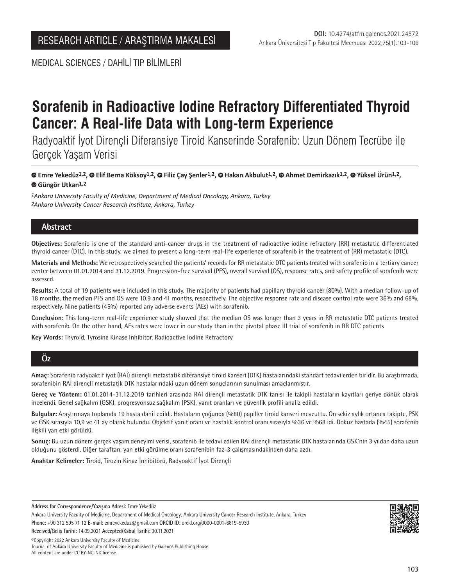MEDICAL SCIENCES / DAHİLİ TIP BİLİMLERİ

# **Sorafenib in Radioactive Iodine Refractory Differentiated Thyroid Cancer: A Real-life Data with Long-term Experience**

Radyoaktif İyot Dirençli Diferansiye Tiroid Kanserinde Sorafenib: Uzun Dönem Tecrübe ile Gerçek Yaşam Verisi

 **Emre Yekedüz1,2,Elif Berna Köksoy1,2,Filiz Çay Şenler1,2,Hakan Akbulut1,2, Ahmet Demirkazık1,2,Yüksel Ürün1,2, Güngör Utkan1,2**

*1Ankara University Faculty of Medicine, Department of Medical Oncology, Ankara, Turkey 2Ankara University Cancer Research Institute, Ankara, Turkey*

# **Abstract**

**Objectives:** Sorafenib is one of the standard anti-cancer drugs in the treatment of radioactive iodine refractory (RR) metastatic differentiated thyroid cancer (DTC). In this study, we aimed to present a long-term real-life experience of sorafenib in the treatment of (RR) metastatic (DTC).

**Materials and Methods:** We retrospectively searched the patients' records for RR metastatic DTC patients treated with sorafenib in a tertiary cancer center between 01.01.2014 and 31.12.2019. Progression-free survival (PFS), overall survival (OS), response rates, and safety profile of sorafenib were assessed.

**Results:** A total of 19 patients were included in this study. The majority of patients had papillary thyroid cancer (80%). With a median follow-up of 18 months, the median PFS and OS were 10.9 and 41 months, respectively. The objective response rate and disease control rate were 36% and 68%, respectively. Nine patients (45%) reported any adverse events (AEs) with sorafenib.

**Conclusion:** This long-term real-life experience study showed that the median OS was longer than 3 years in RR metastatic DTC patients treated with sorafenib. On the other hand, AEs rates were lower in our study than in the pivotal phase III trial of sorafenib in RR DTC patients

**Key Words:** Thyroid, Tyrosine Kinase Inhibitor, Radioactive Iodine Refractory

# **Öz**

**Amaç:** Sorafenib radyoaktif iyot (RAİ) dirençli metastatik diferansiye tiroid kanseri (DTK) hastalarındaki standart tedavilerden biridir. Bu araştırmada, sorafenibin RAİ dirençli metastatik DTK hastalarındaki uzun dönem sonuçlarının sunulması amaçlanmıştır.

**Gereç ve Yöntem:** 01.01.2014-31.12.2019 tarihleri arasında RAİ dirençli metastatik DTK tanısı ile takipli hastaların kayıtları geriye dönük olarak incelendi. Genel sağkalım (GSK), progresyonsuz sağkalım (PSK), yanıt oranları ve güvenlik profili analiz edildi.

**Bulgular:** Araştırmaya toplamda 19 hasta dahil edildi. Hastaların çoğunda (%80) papiller tiroid kanseri mevcuttu. On sekiz aylık ortanca takipte, PSK ve GSK sırasıyla 10,9 ve 41 ay olarak bulundu. Objektif yanıt oranı ve hastalık kontrol oranı sırasıyla %36 ve %68 idi. Dokuz hastada (%45) sorafenib ilişkili yan etki görüldü.

**Sonuç:** Bu uzun dönem gerçek yaşam deneyimi verisi, sorafenib ile tedavi edilen RAİ dirençli metastatik DTK hastalarında GSK'nin 3 yıldan daha uzun olduğunu gösterdi. Diğer taraftan, yan etki görülme oranı sorafenibin faz-3 çalışmasındakinden daha azdı.

**Anahtar Kelimeler:** Tiroid, Tirozin Kinaz İnhibitörü, Radyoaktif İyot Dirençli

**Address for Correspondence/Yazışma Adresi:** Emre Yekedüz

**Received/Geliş Tarihi:** 14.09.2021 **Accepted/Kabul Tarihi:** 30.11.2021

©️Copyright 2022 Ankara University Faculty of Medicine Journal of Ankara University Faculty of Medicine is published by Galenos Publishing House. All content are under CC BY-NC-ND license.



Ankara University Faculty of Medicine, Department of Medical Oncology; Ankara University Cancer Research Institute, Ankara, Turkey **Phone:** +90 312 595 71 12 **E-mail:** emreyekeduz@gmail.com **ORCID ID:** orcid.org/0000-0001-6819-5930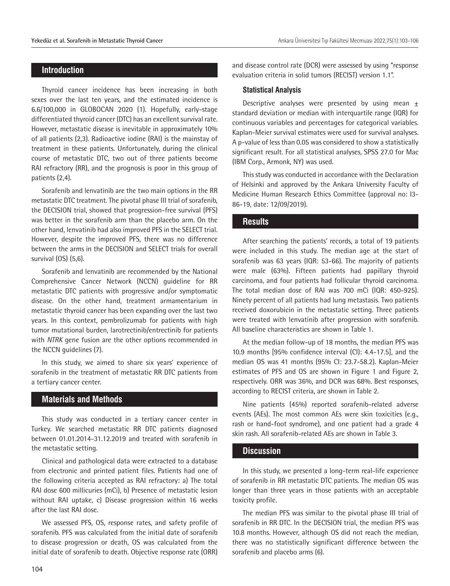## **Introduction**

Thyroid cancer incidence has been increasing in both sexes over the last ten years, and the estimated incidence is 6.6/100,000 in GLOBOCAN 2020 (1). Hopefully, early-stage differentiated thyroid cancer (DTC) has an excellent survival rate. However, metastatic disease is inevitable in approximately 10% of all patients (2,3). Radioactive iodine (RAI) is the mainstay of treatment in these patients. Unfortunately, during the clinical course of metastatic DTC, two out of three patients become RAI refractory (RR), and the prognosis is poor in this group of patients (2,4).

Sorafenib and lenvatinib are the two main options in the RR metastatic DTC treatment. The pivotal phase III trial of sorafenib, the DECISION trial, showed that progression-free survival (PFS) was better in the sorafenib arm than the placebo arm. On the other hand, lenvatinib had also improved PFS in the SELECT trial. However, despite the improved PFS, there was no difference between the arms in the DECISION and SELECT trials for overall survival (OS) (5,6).

Sorafenib and lenvatinib are recommended by the National Comprehensive Cancer Network (NCCN) guideline for RR metastatic DTC patients with progressive and/or symptomatic disease. On the other hand, treatment armamentarium in metastatic thyroid cancer has been expanding over the last two years. In this context, pembrolizumab for patients with high tumor mutational burden, larotrectinib/entrectinib for patients with *NTRK* gene fusion are the other options recommended in the NCCN guidelines (7).

In this study, we aimed to share six years' experience of sorafenib in the treatment of metastatic RR DTC patients from a tertiary cancer center.

#### **Materials and Methods**

This study was conducted in a tertiary cancer center in Turkey. We searched metastatic RR DTC patients diagnosed between 01.01.2014-31.12.2019 and treated with sorafenib in the metastatic setting.

Clinical and pathological data were extracted to a database from electronic and printed patient files. Patients had one of the following criteria accepted as RAI refractory: a) The total RAI dose 600 millicuries (mCi), b) Presence of metastatic lesion without RAI uptake, c) Disease progression within 16 weeks after the last RAI dose.

We assessed PFS, OS, response rates, and safety profile of sorafenib. PFS was calculated from the initial date of sorafenib to disease progression or death, OS was calculated from the initial date of sorafenib to death. Objective response rate (ORR)

and disease control rate (DCR) were assessed by using "response evaluation criteria in solid tumors (RECIST) version 1.1".

#### **Statistical Analysis**

Descriptive analyses were presented by using mean  $\pm$ standard deviation or median with interquartile range (IQR) for continuous variables and percentages for categorical variables. Kaplan-Meier survival estimates were used for survival analyses. A p-value of less than 0.05 was considered to show a statistically significant result. For all statistical analyses, SPSS 27.0 for Mac (IBM Corp., Armonk, NY) was used.

This study was conducted in accordance with the Declaration of Helsinki and approved by the Ankara University Faculty of Medicine Human Research Ethics Committee (approval no: I3- 86-19, date: 12/09/2019).

#### **Results**

After searching the patients' records, a total of 19 patients were included in this study. The median age at the start of sorafenib was 63 years (IQR: 53-66). The majority of patients were male (63%). Fifteen patients had papillary thyroid carcinoma, and four patients had follicular thyroid carcinoma. The total median dose of RAI was 700 mCi (IQR: 450-925). Ninety percent of all patients had lung metastasis. Two patients received doxorubicin in the metastatic setting. Three patients were treated with lenvatinib after progression with sorafenib. All baseline characteristics are shown in Table 1.

At the median follow-up of 18 months, the median PFS was 10.9 months [95% confidence interval (CI): 4.4-17.5], and the median OS was 41 months (95% CI: 23.7-58.2). Kaplan-Meier estimates of PFS and OS are shown in Figure 1 and Figure 2, respectively. ORR was 36%, and DCR was 68%. Best responses, according to RECIST criteria, are shown in Table 2.

Nine patients (45%) reported sorafenib-related adverse events (AEs). The most common AEs were skin toxicities (e.g., rash or hand-foot syndrome), and one patient had a grade 4 skin rash. All sorafenib-related AEs are shown in Table 3.

#### **Discussion**

In this study, we presented a long-term real-life experience of sorafenib in RR metastatic DTC patients. The median OS was longer than three years in those patients with an acceptable toxicity profile.

The median PFS was similar to the pivotal phase III trial of sorafenib in RR DTC. In the DECISION trial, the median PFS was 10.8 months. However, although OS did not reach the median, there was no statistically significant difference between the sorafenib and placebo arms (6).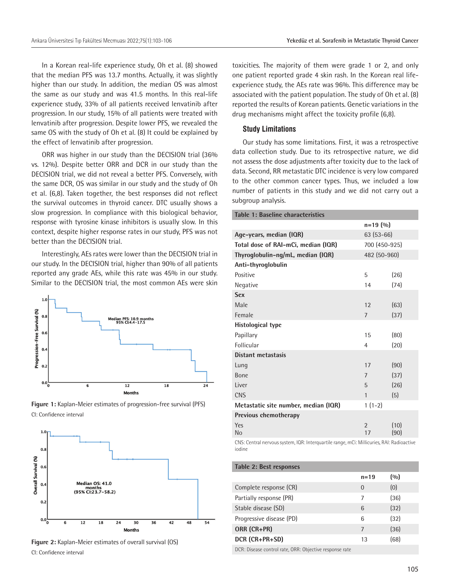In a Korean real-life experience study, Oh et al. (8) showed that the median PFS was 13.7 months. Actually, it was slightly higher than our study. In addition, the median OS was almost the same as our study and was 41.5 months. In this real-life experience study, 33% of all patients received lenvatinib after progression. In our study, 15% of all patients were treated with lenvatinib after progression. Despite lower PFS, we revealed the same OS with the study of Oh et al. (8) It could be explained by the effect of lenvatinib after progression.

ORR was higher in our study than the DECISION trial (36% vs. 12%). Despite better ORR and DCR in our study than the DECISION trial, we did not reveal a better PFS. Conversely, with the same DCR, OS was similar in our study and the study of Oh et al. (6,8). Taken together, the best responses did not reflect the survival outcomes in thyroid cancer. DTC usually shows a slow progression. In compliance with this biological behavior, response with tyrosine kinase inhibitors is usually slow. In this context, despite higher response rates in our study, PFS was not better than the DECISION trial.

Interestingly, AEs rates were lower than the DECISION trial in our study. In the DECISION trial, higher than 90% of all patients reported any grade AEs, while this rate was 45% in our study. Similar to the DECISION trial, the most common AEs were skin







**Figure 2:** Kaplan-Meier estimates of overall survival (OS) CI: Confidence interval

toxicities. The majority of them were grade 1 or 2, and only one patient reported grade 4 skin rash. In the Korean real lifeexperience study, the AEs rate was 96%. This difference may be associated with the patient population. The study of Oh et al. (8) reported the results of Korean patients. Genetic variations in the drug mechanisms might affect the toxicity profile (6,8).

#### **Study Limitations**

Our study has some limitations. First, it was a retrospective data collection study. Due to its retrospective nature, we did not assess the dose adjustments after toxicity due to the lack of data. Second, RR metastatic DTC incidence is very low compared to the other common cancer types. Thus, we included a low number of patients in this study and we did not carry out a subgroup analysis.

| Table 1: Baseline characteristics    |                      |              |
|--------------------------------------|----------------------|--------------|
|                                      | $n = 19(90)$         |              |
| Age-years, median (IQR)              | 63 (53-66)           |              |
| Total dose of RAI-mCi, median (IQR)  | 700 (450-925)        |              |
| Thyroglobulin-ng/mL, median (IQR)    | 482 (50-960)         |              |
| Anti-thyroglobulin                   |                      |              |
| Positive                             | 5                    | (26)         |
| Negative                             | 14                   | (74)         |
| <b>Sex</b>                           |                      |              |
| Male                                 | 12                   | (63)         |
| Female                               | $\overline{7}$       | (37)         |
| <b>Histological type</b>             |                      |              |
| Papillary                            | 15                   | (80)         |
| Follicular                           | 4                    | (20)         |
| Distant metastasis                   |                      |              |
| Lung                                 | 17                   | (90)         |
| <b>Bone</b>                          | $\overline{7}$       | (37)         |
| Liver                                | 5                    | (26)         |
| <b>CNS</b>                           | $\mathbf{1}$         | (5)          |
| Metastatic site number, median (IQR) | $1(1-2)$             |              |
| Previous chemotherapy                |                      |              |
| Yes<br>No                            | $\overline{2}$<br>17 | (10)<br>(90) |
|                                      |                      |              |

CNS: Central nervous system, IQR: Interquartile range, mCi: Millicuries, RAI: Radioactive iodine

| Table 2: Best responses  |          |       |
|--------------------------|----------|-------|
|                          | $n = 19$ | (0/0) |
| Complete response (CR)   | $\Omega$ | (0)   |
| Partially response (PR)  | 7        | (36)  |
| Stable disease (SD)      | 6        | (32)  |
| Progressive disease (PD) | 6        | (32)  |
| ORR (CR+PR)              | 7        | (36)  |
| DCR (CR+PR+SD)           | 13       | (68)  |
|                          |          |       |

DCR: Disease control rate, ORR: Objective response rate